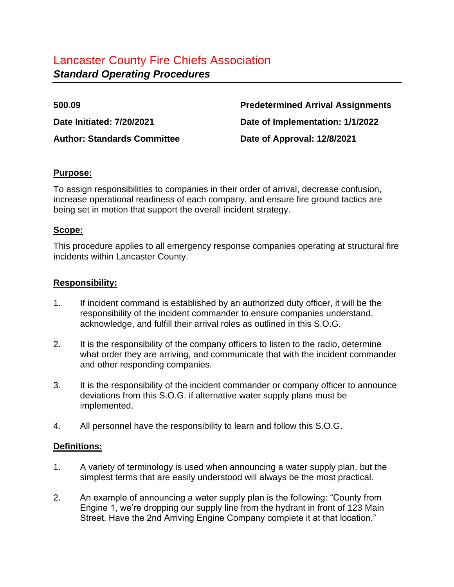**Author: Standards Committee Date of Approval: 12/8/2021**

**500.09 Predetermined Arrival Assignments Date Initiated: 7/20/2021 Date of Implementation: 1/1/2022**

#### **Purpose:**

To assign responsibilities to companies in their order of arrival, decrease confusion, increase operational readiness of each company, and ensure fire ground tactics are being set in motion that support the overall incident strategy.

#### **Scope:**

This procedure applies to all emergency response companies operating at structural fire incidents within Lancaster County.

#### **Responsibility:**

- 1. If incident command is established by an authorized duty officer, it will be the responsibility of the incident commander to ensure companies understand, acknowledge, and fulfill their arrival roles as outlined in this S.O.G.
- 2. It is the responsibility of the company officers to listen to the radio, determine what order they are arriving, and communicate that with the incident commander and other responding companies.
- 3. It is the responsibility of the incident commander or company officer to announce deviations from this S.O.G. if alternative water supply plans must be implemented.
- 4. All personnel have the responsibility to learn and follow this S.O.G.

#### **Definitions:**

- 1. A variety of terminology is used when announcing a water supply plan, but the simplest terms that are easily understood will always be the most practical.
- 2. An example of announcing a water supply plan is the following: "County from Engine 1, we're dropping our supply line from the hydrant in front of 123 Main Street. Have the 2nd Arriving Engine Company complete it at that location."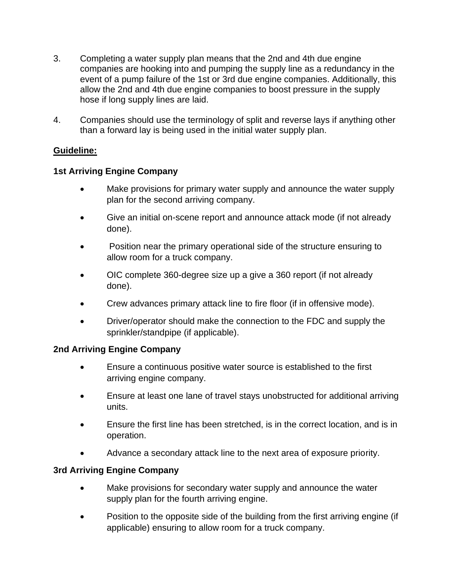- 3. Completing a water supply plan means that the 2nd and 4th due engine companies are hooking into and pumping the supply line as a redundancy in the event of a pump failure of the 1st or 3rd due engine companies. Additionally, this allow the 2nd and 4th due engine companies to boost pressure in the supply hose if long supply lines are laid.
- 4. Companies should use the terminology of split and reverse lays if anything other than a forward lay is being used in the initial water supply plan.

# **Guideline:**

## **1st Arriving Engine Company**

- Make provisions for primary water supply and announce the water supply plan for the second arriving company.
- Give an initial on-scene report and announce attack mode (if not already done).
- Position near the primary operational side of the structure ensuring to allow room for a truck company.
- OIC complete 360-degree size up a give a 360 report (if not already done).
- Crew advances primary attack line to fire floor (if in offensive mode).
- Driver/operator should make the connection to the FDC and supply the sprinkler/standpipe (if applicable).

## **2nd Arriving Engine Company**

- Ensure a continuous positive water source is established to the first arriving engine company.
- Ensure at least one lane of travel stays unobstructed for additional arriving units.
- Ensure the first line has been stretched, is in the correct location, and is in operation.
- Advance a secondary attack line to the next area of exposure priority.

## **3rd Arriving Engine Company**

- Make provisions for secondary water supply and announce the water supply plan for the fourth arriving engine.
- Position to the opposite side of the building from the first arriving engine (if applicable) ensuring to allow room for a truck company.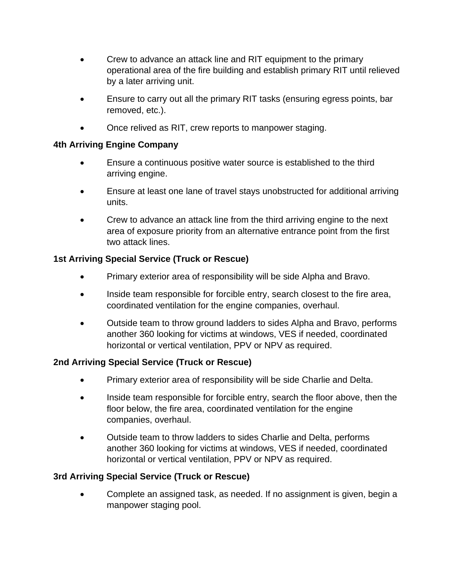- Crew to advance an attack line and RIT equipment to the primary operational area of the fire building and establish primary RIT until relieved by a later arriving unit.
- Ensure to carry out all the primary RIT tasks (ensuring egress points, bar removed, etc.).
- Once relived as RIT, crew reports to manpower staging.

# **4th Arriving Engine Company**

- Ensure a continuous positive water source is established to the third arriving engine.
- Ensure at least one lane of travel stays unobstructed for additional arriving units.
- Crew to advance an attack line from the third arriving engine to the next area of exposure priority from an alternative entrance point from the first two attack lines.

# **1st Arriving Special Service (Truck or Rescue)**

- Primary exterior area of responsibility will be side Alpha and Bravo.
- Inside team responsible for forcible entry, search closest to the fire area, coordinated ventilation for the engine companies, overhaul.
- Outside team to throw ground ladders to sides Alpha and Bravo, performs another 360 looking for victims at windows, VES if needed, coordinated horizontal or vertical ventilation, PPV or NPV as required.

# **2nd Arriving Special Service (Truck or Rescue)**

- Primary exterior area of responsibility will be side Charlie and Delta.
- Inside team responsible for forcible entry, search the floor above, then the floor below, the fire area, coordinated ventilation for the engine companies, overhaul.
- Outside team to throw ladders to sides Charlie and Delta, performs another 360 looking for victims at windows, VES if needed, coordinated horizontal or vertical ventilation, PPV or NPV as required.

# **3rd Arriving Special Service (Truck or Rescue)**

• Complete an assigned task, as needed. If no assignment is given, begin a manpower staging pool.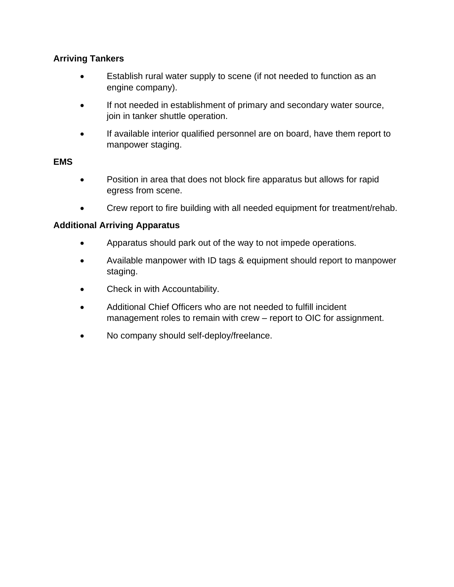# **Arriving Tankers**

- Establish rural water supply to scene (if not needed to function as an engine company).
- If not needed in establishment of primary and secondary water source, join in tanker shuttle operation.
- If available interior qualified personnel are on board, have them report to manpower staging.

#### **EMS**

- Position in area that does not block fire apparatus but allows for rapid egress from scene.
- Crew report to fire building with all needed equipment for treatment/rehab.

## **Additional Arriving Apparatus**

- Apparatus should park out of the way to not impede operations.
- Available manpower with ID tags & equipment should report to manpower staging.
- Check in with Accountability.
- Additional Chief Officers who are not needed to fulfill incident management roles to remain with crew – report to OIC for assignment.
- No company should self-deploy/freelance.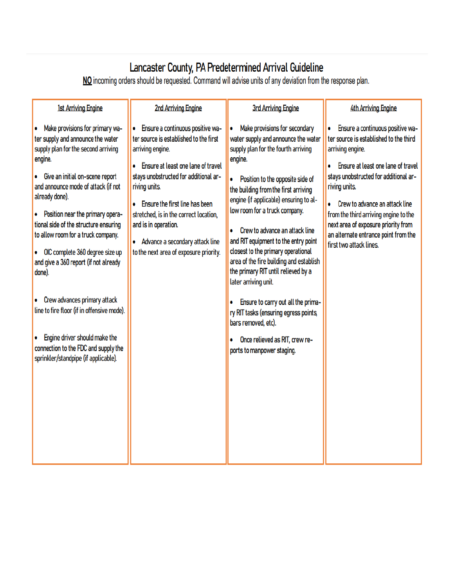Lancaster County, PA Predetermined Arrival Guideline<br>No incoming orders should be requested. Command will advise units of any deviation from the response plan.

| <b>1st Arriving Engine</b>                                                                                                                                                                                                                               | 2nd Arriving Engine                                                                                                                                                                                                                                                                                                                                                             | <b>3rd Arriving Engine</b>                                                                                                                                                                                                                                                                                                                                                                                                                                                                                             | <b>4th Arriving Engine</b>                                                                                                                                                                                                                                                                                                                                                          |
|----------------------------------------------------------------------------------------------------------------------------------------------------------------------------------------------------------------------------------------------------------|---------------------------------------------------------------------------------------------------------------------------------------------------------------------------------------------------------------------------------------------------------------------------------------------------------------------------------------------------------------------------------|------------------------------------------------------------------------------------------------------------------------------------------------------------------------------------------------------------------------------------------------------------------------------------------------------------------------------------------------------------------------------------------------------------------------------------------------------------------------------------------------------------------------|-------------------------------------------------------------------------------------------------------------------------------------------------------------------------------------------------------------------------------------------------------------------------------------------------------------------------------------------------------------------------------------|
| Make provisions for primary wa-<br>ter supply and announce the water<br>supply plan for the second arriving<br>engine.<br>Give an initial on-scene report<br>and announce mode of attack (if not<br>already done).<br>• Position near the primary opera- | Ensure a continuous positive wa-<br>ter source is established to the first<br>arriving engine.<br>Ensure at least one lane of travel<br>stays unobstructed for additional ar-<br>riving units.<br>Ensure the first line has been<br>stretched, is in the correct location,<br>and is in operation.<br>Advance a secondary attack line<br>to the next area of exposure priority. | Make provisions for secondary<br>۰<br>water supply and announce the water<br>supply plan for the fourth arriving<br>engine.<br>Position to the opposite side of<br>٠<br>the building from the first arriving<br>engine (if applicable) ensuring to al-<br>low room for a truck company.<br>Crew to advance an attack line<br>٠<br>and RIT equipment to the entry point<br>closest to the primary operational<br>area of the fire building and establish<br>the primary RIT until relieved by a<br>later arriving unit. | Ensure a continuous positive wa-<br>ter source is established to the third<br>arriving engine.<br>Ensure at least one lane of travel<br>stays unobstructed for additional ar-<br>riving units.<br>Crew to advance an attack line<br>from the third arriving engine to the<br>next area of exposure priority from<br>an alternate entrance point from the<br>first two attack lines. |
| tional side of the structure ensuring<br>to allow room for a truck company.<br>OIC complete 360 degree size up<br>and give a 360 report (if not already<br>done).<br>Crew advances primary attack                                                        |                                                                                                                                                                                                                                                                                                                                                                                 |                                                                                                                                                                                                                                                                                                                                                                                                                                                                                                                        |                                                                                                                                                                                                                                                                                                                                                                                     |
| line to fire floor (if in offensive mode).<br>Engine driver should make the<br>connection to the FDC and supply the                                                                                                                                      |                                                                                                                                                                                                                                                                                                                                                                                 | Ensure to carry out all the prima-<br>۰<br>ry RIT tasks (ensuring egress points,<br>bars removed, etc).<br>Once relieved as RIT, crew re-<br>۰<br>ports to manpower staging.                                                                                                                                                                                                                                                                                                                                           |                                                                                                                                                                                                                                                                                                                                                                                     |
| sprinkler/standpipe (if applicable).                                                                                                                                                                                                                     |                                                                                                                                                                                                                                                                                                                                                                                 |                                                                                                                                                                                                                                                                                                                                                                                                                                                                                                                        |                                                                                                                                                                                                                                                                                                                                                                                     |